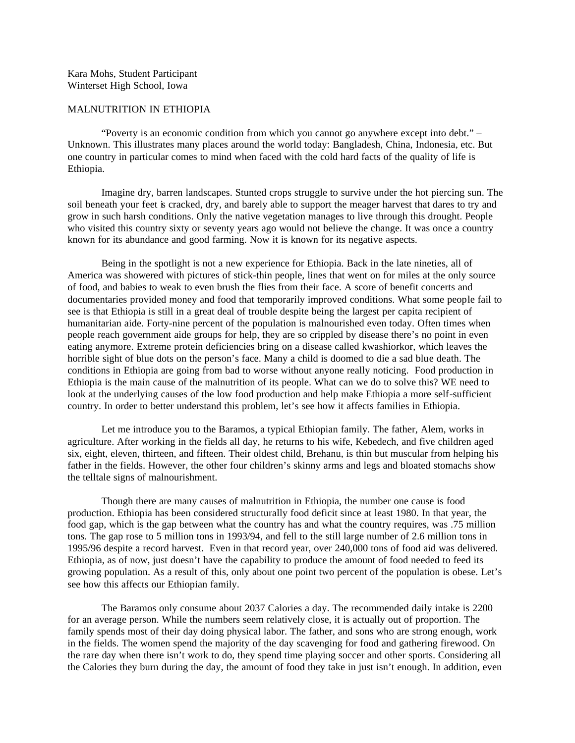Kara Mohs, Student Participant Winterset High School, Iowa

## MALNUTRITION IN ETHIOPIA

"Poverty is an economic condition from which you cannot go anywhere except into debt." – Unknown. This illustrates many places around the world today: Bangladesh, China, Indonesia, etc. But one country in particular comes to mind when faced with the cold hard facts of the quality of life is Ethiopia.

Imagine dry, barren landscapes. Stunted crops struggle to survive under the hot piercing sun. The soil beneath your feet is cracked, dry, and barely able to support the meager harvest that dares to try and grow in such harsh conditions. Only the native vegetation manages to live through this drought. People who visited this country sixty or seventy years ago would not believe the change. It was once a country known for its abundance and good farming. Now it is known for its negative aspects.

Being in the spotlight is not a new experience for Ethiopia. Back in the late nineties, all of America was showered with pictures of stick-thin people, lines that went on for miles at the only source of food, and babies to weak to even brush the flies from their face. A score of benefit concerts and documentaries provided money and food that temporarily improved conditions. What some people fail to see is that Ethiopia is still in a great deal of trouble despite being the largest per capita recipient of humanitarian aide. Forty-nine percent of the population is malnourished even today. Often times when people reach government aide groups for help, they are so crippled by disease there's no point in even eating anymore. Extreme protein deficiencies bring on a disease called kwashiorkor, which leaves the horrible sight of blue dots on the person's face. Many a child is doomed to die a sad blue death. The conditions in Ethiopia are going from bad to worse without anyone really noticing. Food production in Ethiopia is the main cause of the malnutrition of its people. What can we do to solve this? WE need to look at the underlying causes of the low food production and help make Ethiopia a more self-sufficient country. In order to better understand this problem, let's see how it affects families in Ethiopia.

Let me introduce you to the Baramos, a typical Ethiopian family. The father, Alem, works in agriculture. After working in the fields all day, he returns to his wife, Kebedech, and five children aged six, eight, eleven, thirteen, and fifteen. Their oldest child, Brehanu, is thin but muscular from helping his father in the fields. However, the other four children's skinny arms and legs and bloated stomachs show the telltale signs of malnourishment.

Though there are many causes of malnutrition in Ethiopia, the number one cause is food production. Ethiopia has been considered structurally food deficit since at least 1980. In that year, the food gap, which is the gap between what the country has and what the country requires, was .75 million tons. The gap rose to 5 million tons in 1993/94, and fell to the still large number of 2.6 million tons in 1995/96 despite a record harvest. Even in that record year, over 240,000 tons of food aid was delivered. Ethiopia, as of now, just doesn't have the capability to produce the amount of food needed to feed its growing population. As a result of this, only about one point two percent of the population is obese. Let's see how this affects our Ethiopian family.

The Baramos only consume about 2037 Calories a day. The recommended daily intake is 2200 for an average person. While the numbers seem relatively close, it is actually out of proportion. The family spends most of their day doing physical labor. The father, and sons who are strong enough, work in the fields. The women spend the majority of the day scavenging for food and gathering firewood. On the rare day when there isn't work to do, they spend time playing soccer and other sports. Considering all the Calories they burn during the day, the amount of food they take in just isn't enough. In addition, even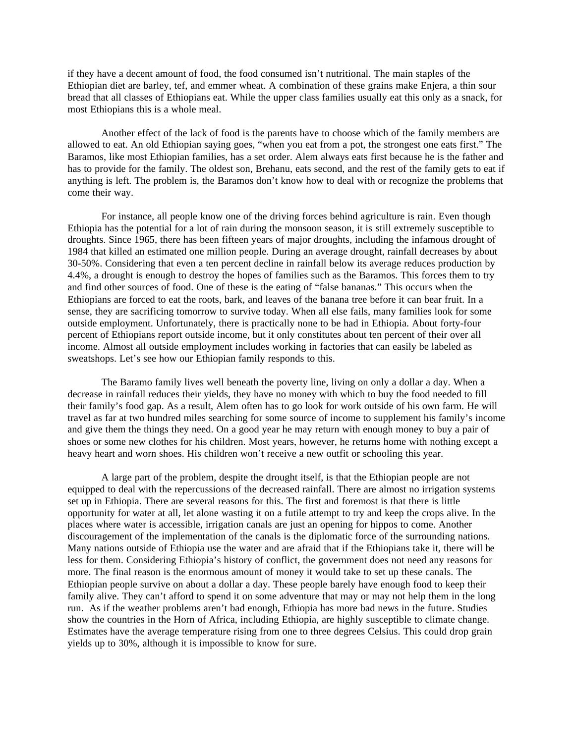if they have a decent amount of food, the food consumed isn't nutritional. The main staples of the Ethiopian diet are barley, tef, and emmer wheat. A combination of these grains make Enjera, a thin sour bread that all classes of Ethiopians eat. While the upper class families usually eat this only as a snack, for most Ethiopians this is a whole meal.

Another effect of the lack of food is the parents have to choose which of the family members are allowed to eat. An old Ethiopian saying goes, "when you eat from a pot, the strongest one eats first." The Baramos, like most Ethiopian families, has a set order. Alem always eats first because he is the father and has to provide for the family. The oldest son, Brehanu, eats second, and the rest of the family gets to eat if anything is left. The problem is, the Baramos don't know how to deal with or recognize the problems that come their way.

For instance, all people know one of the driving forces behind agriculture is rain. Even though Ethiopia has the potential for a lot of rain during the monsoon season, it is still extremely susceptible to droughts. Since 1965, there has been fifteen years of major droughts, including the infamous drought of 1984 that killed an estimated one million people. During an average drought, rainfall decreases by about 30-50%. Considering that even a ten percent decline in rainfall below its average reduces production by 4.4%, a drought is enough to destroy the hopes of families such as the Baramos. This forces them to try and find other sources of food. One of these is the eating of "false bananas." This occurs when the Ethiopians are forced to eat the roots, bark, and leaves of the banana tree before it can bear fruit. In a sense, they are sacrificing tomorrow to survive today. When all else fails, many families look for some outside employment. Unfortunately, there is practically none to be had in Ethiopia. About forty-four percent of Ethiopians report outside income, but it only constitutes about ten percent of their over all income. Almost all outside employment includes working in factories that can easily be labeled as sweatshops. Let's see how our Ethiopian family responds to this.

The Baramo family lives well beneath the poverty line, living on only a dollar a day. When a decrease in rainfall reduces their yields, they have no money with which to buy the food needed to fill their family's food gap. As a result, Alem often has to go look for work outside of his own farm. He will travel as far at two hundred miles searching for some source of income to supplement his family's income and give them the things they need. On a good year he may return with enough money to buy a pair of shoes or some new clothes for his children. Most years, however, he returns home with nothing except a heavy heart and worn shoes. His children won't receive a new outfit or schooling this year.

A large part of the problem, despite the drought itself, is that the Ethiopian people are not equipped to deal with the repercussions of the decreased rainfall. There are almost no irrigation systems set up in Ethiopia. There are several reasons for this. The first and foremost is that there is little opportunity for water at all, let alone wasting it on a futile attempt to try and keep the crops alive. In the places where water is accessible, irrigation canals are just an opening for hippos to come. Another discouragement of the implementation of the canals is the diplomatic force of the surrounding nations. Many nations outside of Ethiopia use the water and are afraid that if the Ethiopians take it, there will be less for them. Considering Ethiopia's history of conflict, the government does not need any reasons for more. The final reason is the enormous amount of money it would take to set up these canals. The Ethiopian people survive on about a dollar a day. These people barely have enough food to keep their family alive. They can't afford to spend it on some adventure that may or may not help them in the long run. As if the weather problems aren't bad enough, Ethiopia has more bad news in the future. Studies show the countries in the Horn of Africa, including Ethiopia, are highly susceptible to climate change. Estimates have the average temperature rising from one to three degrees Celsius. This could drop grain yields up to 30%, although it is impossible to know for sure.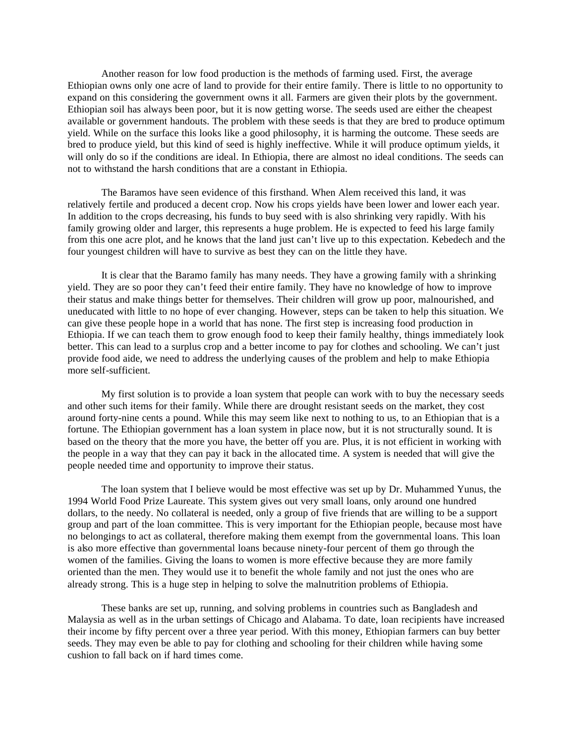Another reason for low food production is the methods of farming used. First, the average Ethiopian owns only one acre of land to provide for their entire family. There is little to no opportunity to expand on this considering the government owns it all. Farmers are given their plots by the government. Ethiopian soil has always been poor, but it is now getting worse. The seeds used are either the cheapest available or government handouts. The problem with these seeds is that they are bred to produce optimum yield. While on the surface this looks like a good philosophy, it is harming the outcome. These seeds are bred to produce yield, but this kind of seed is highly ineffective. While it will produce optimum yields, it will only do so if the conditions are ideal. In Ethiopia, there are almost no ideal conditions. The seeds can not to withstand the harsh conditions that are a constant in Ethiopia.

The Baramos have seen evidence of this firsthand. When Alem received this land, it was relatively fertile and produced a decent crop. Now his crops yields have been lower and lower each year. In addition to the crops decreasing, his funds to buy seed with is also shrinking very rapidly. With his family growing older and larger, this represents a huge problem. He is expected to feed his large family from this one acre plot, and he knows that the land just can't live up to this expectation. Kebedech and the four youngest children will have to survive as best they can on the little they have.

It is clear that the Baramo family has many needs. They have a growing family with a shrinking yield. They are so poor they can't feed their entire family. They have no knowledge of how to improve their status and make things better for themselves. Their children will grow up poor, malnourished, and uneducated with little to no hope of ever changing. However, steps can be taken to help this situation. We can give these people hope in a world that has none. The first step is increasing food production in Ethiopia. If we can teach them to grow enough food to keep their family healthy, things immediately look better. This can lead to a surplus crop and a better income to pay for clothes and schooling. We can't just provide food aide, we need to address the underlying causes of the problem and help to make Ethiopia more self-sufficient.

My first solution is to provide a loan system that people can work with to buy the necessary seeds and other such items for their family. While there are drought resistant seeds on the market, they cost around forty-nine cents a pound. While this may seem like next to nothing to us, to an Ethiopian that is a fortune. The Ethiopian government has a loan system in place now, but it is not structurally sound. It is based on the theory that the more you have, the better off you are. Plus, it is not efficient in working with the people in a way that they can pay it back in the allocated time. A system is needed that will give the people needed time and opportunity to improve their status.

The loan system that I believe would be most effective was set up by Dr. Muhammed Yunus, the 1994 World Food Prize Laureate. This system gives out very small loans, only around one hundred dollars, to the needy. No collateral is needed, only a group of five friends that are willing to be a support group and part of the loan committee. This is very important for the Ethiopian people, because most have no belongings to act as collateral, therefore making them exempt from the governmental loans. This loan is also more effective than governmental loans because ninety-four percent of them go through the women of the families. Giving the loans to women is more effective because they are more family oriented than the men. They would use it to benefit the whole family and not just the ones who are already strong. This is a huge step in helping to solve the malnutrition problems of Ethiopia.

These banks are set up, running, and solving problems in countries such as Bangladesh and Malaysia as well as in the urban settings of Chicago and Alabama. To date, loan recipients have increased their income by fifty percent over a three year period. With this money, Ethiopian farmers can buy better seeds. They may even be able to pay for clothing and schooling for their children while having some cushion to fall back on if hard times come.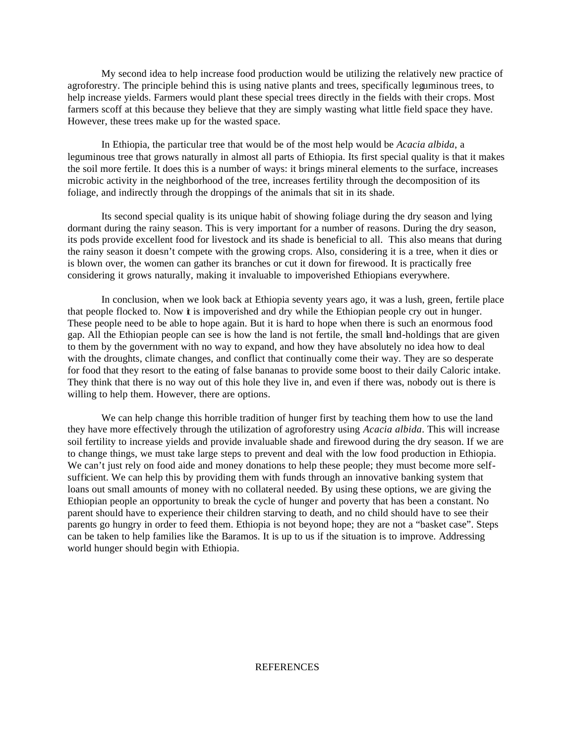My second idea to help increase food production would be utilizing the relatively new practice of agroforestry. The principle behind this is using native plants and trees, specifically leguminous trees, to help increase yields. Farmers would plant these special trees directly in the fields with their crops. Most farmers scoff at this because they believe that they are simply wasting what little field space they have. However, these trees make up for the wasted space.

In Ethiopia, the particular tree that would be of the most help would be *Acacia albida*, a leguminous tree that grows naturally in almost all parts of Ethiopia. Its first special quality is that it makes the soil more fertile. It does this is a number of ways: it brings mineral elements to the surface, increases microbic activity in the neighborhood of the tree, increases fertility through the decomposition of its foliage, and indirectly through the droppings of the animals that sit in its shade.

Its second special quality is its unique habit of showing foliage during the dry season and lying dormant during the rainy season. This is very important for a number of reasons. During the dry season, its pods provide excellent food for livestock and its shade is beneficial to all. This also means that during the rainy season it doesn't compete with the growing crops. Also, considering it is a tree, when it dies or is blown over, the women can gather its branches or cut it down for firewood. It is practically free considering it grows naturally, making it invaluable to impoverished Ethiopians everywhere.

In conclusion, when we look back at Ethiopia seventy years ago, it was a lush, green, fertile place that people flocked to. Now **i** is impoverished and dry while the Ethiopian people cry out in hunger. These people need to be able to hope again. But it is hard to hope when there is such an enormous food gap. All the Ethiopian people can see is how the land is not fertile, the small land-holdings that are given to them by the government with no way to expand, and how they have absolutely no idea how to deal with the droughts, climate changes, and conflict that continually come their way. They are so desperate for food that they resort to the eating of false bananas to provide some boost to their daily Caloric intake. They think that there is no way out of this hole they live in, and even if there was, nobody out is there is willing to help them. However, there are options.

We can help change this horrible tradition of hunger first by teaching them how to use the land they have more effectively through the utilization of agroforestry using *Acacia albida*. This will increase soil fertility to increase yields and provide invaluable shade and firewood during the dry season. If we are to change things, we must take large steps to prevent and deal with the low food production in Ethiopia. We can't just rely on food aide and money donations to help these people; they must become more selfsufficient. We can help this by providing them with funds through an innovative banking system that loans out small amounts of money with no collateral needed. By using these options, we are giving the Ethiopian people an opportunity to break the cycle of hunger and poverty that has been a constant. No parent should have to experience their children starving to death, and no child should have to see their parents go hungry in order to feed them. Ethiopia is not beyond hope; they are not a "basket case". Steps can be taken to help families like the Baramos. It is up to us if the situation is to improve. Addressing world hunger should begin with Ethiopia.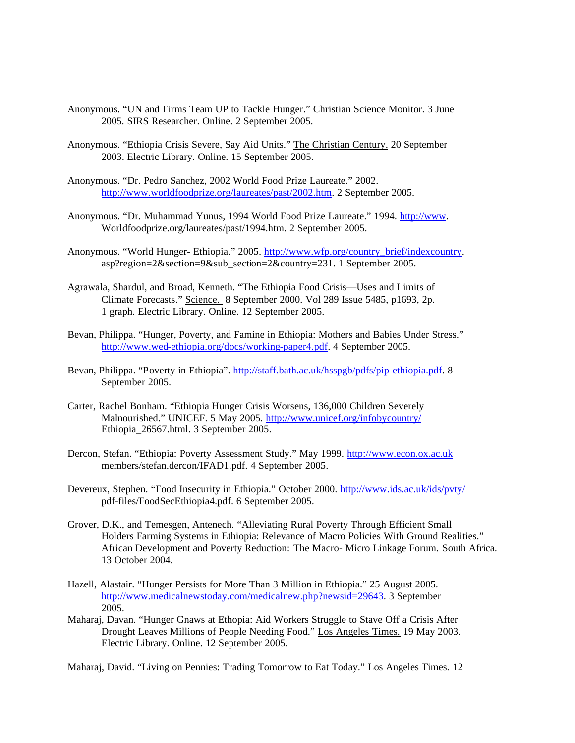- Anonymous. "UN and Firms Team UP to Tackle Hunger." Christian Science Monitor. 3 June 2005. SIRS Researcher. Online. 2 September 2005.
- Anonymous. "Ethiopia Crisis Severe, Say Aid Units." The Christian Century. 20 September 2003. Electric Library. Online. 15 September 2005.
- Anonymous. "Dr. Pedro Sanchez, 2002 World Food Prize Laureate." 2002. http://www.worldfoodprize.org/laureates/past/2002.htm. 2 September 2005.
- Anonymous. "Dr. Muhammad Yunus, 1994 World Food Prize Laureate." 1994. http://www. Worldfoodprize.org/laureates/past/1994.htm. 2 September 2005.
- Anonymous. "World Hunger- Ethiopia." 2005. http://www.wfp.org/country\_brief/indexcountry. asp?region=2&section=9&sub\_section=2&country=231. 1 September 2005.
- Agrawala, Shardul, and Broad, Kenneth. "The Ethiopia Food Crisis—Uses and Limits of Climate Forecasts." Science. 8 September 2000. Vol 289 Issue 5485, p1693, 2p. 1 graph. Electric Library. Online. 12 September 2005.
- Bevan, Philippa. "Hunger, Poverty, and Famine in Ethiopia: Mothers and Babies Under Stress." http://www.wed-ethiopia.org/docs/working-paper4.pdf. 4 September 2005.
- Bevan, Philippa. "Poverty in Ethiopia". http://staff.bath.ac.uk/hsspgb/pdfs/pip-ethiopia.pdf. 8 September 2005.
- Carter, Rachel Bonham. "Ethiopia Hunger Crisis Worsens, 136,000 Children Severely Malnourished." UNICEF. 5 May 2005. http://www.unicef.org/infobycountry/ Ethiopia\_26567.html. 3 September 2005.
- Dercon, Stefan. "Ethiopia: Poverty Assessment Study." May 1999. http://www.econ.ox.ac.uk members/stefan.dercon/IFAD1.pdf. 4 September 2005.
- Devereux, Stephen. "Food Insecurity in Ethiopia." October 2000. http://www.ids.ac.uk/ids/pvty/ pdf-files/FoodSecEthiopia4.pdf. 6 September 2005.
- Grover, D.K., and Temesgen, Antenech. "Alleviating Rural Poverty Through Efficient Small Holders Farming Systems in Ethiopia: Relevance of Macro Policies With Ground Realities." African Development and Poverty Reduction: The Macro- Micro Linkage Forum. South Africa. 13 October 2004.
- Hazell, Alastair. "Hunger Persists for More Than 3 Million in Ethiopia." 25 August 2005. http://www.medicalnewstoday.com/medicalnew.php?newsid=29643. 3 September 2005.
- Maharaj, Davan. "Hunger Gnaws at Ethopia: Aid Workers Struggle to Stave Off a Crisis After Drought Leaves Millions of People Needing Food." Los Angeles Times. 19 May 2003. Electric Library. Online. 12 September 2005.

Maharaj, David. "Living on Pennies: Trading Tomorrow to Eat Today." Los Angeles Times. 12